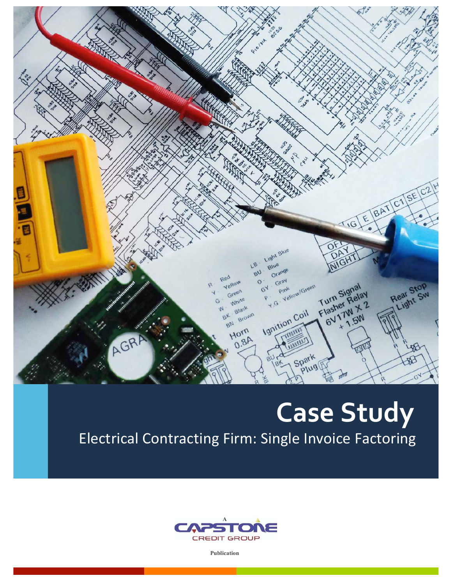**Lorentzian** Plaint  $\overline{\mathbf{z}}$ TIGLE BATICISE C2H  $\overline{E}$ Light Blue LB Blue  $80$ Orang zed Y. Gray<br>Pink Green Gray Rear Stop Turn Signal  $\circ$ ellow  $G^{\mathcal{A}}$ Turn Signal<br>Flasher Relay ear Stop<br>Light Sw reen  $\ddot{\mathcal{Q}}$ urner Relay<br>lasher 7W X 2 **MAI** Ignition Coil Black Brown  $B_{k}$ BN Horn AGRA  $0.8A$ Spark ₩ wg

# **Case 
 Study**

Electrical Contracting Firm: Single Invoice Factoring



**Publication**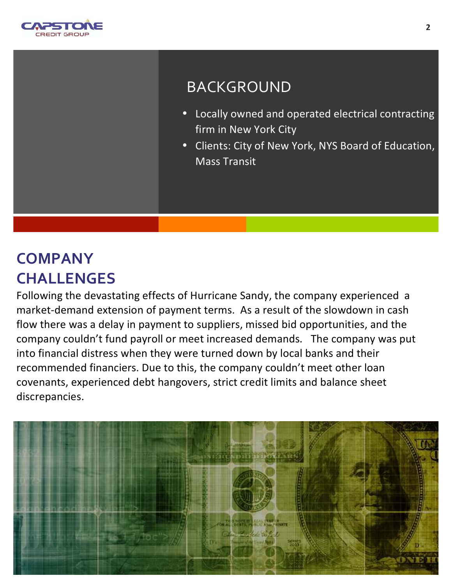

## BACKGROUND

- Locally owned and operated electrical contracting firm in New York City
- Clients: City of New York, NYS Board of Education, **Mass Transit**

## **COMPANY CHALLENGES**

Following the devastating effects of Hurricane Sandy, the company experienced a market-demand extension of payment terms. As a result of the slowdown in cash flow there was a delay in payment to suppliers, missed bid opportunities, and the company couldn't fund payroll or meet increased demands. The company was put into financial distress when they were turned down by local banks and their recommended financiers. Due to this, the company couldn't meet other loan covenants, experienced debt hangovers, strict credit limits and balance sheet discrepancies.